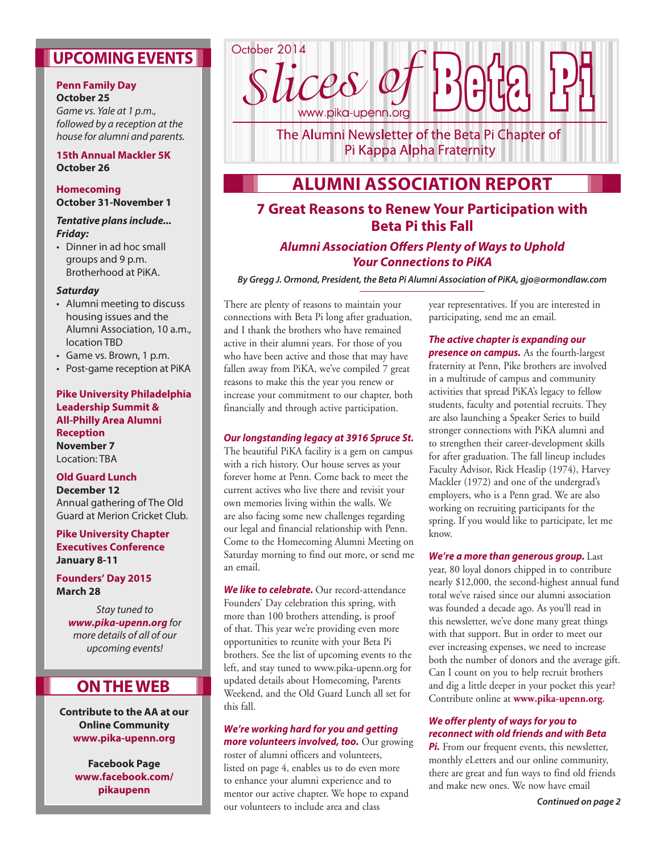# **UPCOMING EVENTS**

### **Penn Family Day October 25**

*Game vs. Yale at 1 p.m., followed by a reception at the house for alumni and parents.*

### **15th Annual Mackler 5K October 26**

#### **Homecoming October 31-November 1**

#### *Tentative plans include... Friday:*

• Dinner in ad hoc small groups and 9 p.m. Brotherhood at PiKA.

### *Saturday*

- • Alumni meeting to discuss housing issues and the Alumni Association, 10 a.m., location TBD
- • Game vs. Brown, 1 p.m.
- • Post-game reception at PiKA

### **Pike University Philadelphia Leadership Summit & All-Philly Area Alumni Reception November 7** Location: TBA

### **Old Guard Lunch December 12** Annual gathering of The Old Guard at Merion Cricket Club.

### **Pike University Chapter Executives Conference January 8-11**

**Founders' Day 2015 March 28**

> *Stay tuned to www.pika-upenn.org for more details of all of our upcoming events!*

# **ON THE WEB**

**Contribute to the AA at our Online Community www.pika-upenn.org**

> **Facebook Page www.facebook.com/ pikaupenn**



The Alumni Newsletter of the Beta Pi Chapter of Pi Kappa Alpha Fraternity

# **ALUMNI ASSOCIATION REPORT**

### **7 Great Reasons to Renew Your Participation with Beta Pi this Fall**

### *Alumni Association Offers Plenty of Ways to Uphold Your Connections to PiKA*

*By Gregg J. Ormond, President, the Beta Pi Alumni Association of PiKA, gjo@ormondlaw.com* 

There are plenty of reasons to maintain your connections with Beta Pi long after graduation, and I thank the brothers who have remained active in their alumni years. For those of you who have been active and those that may have fallen away from PiKA, we've compiled 7 great reasons to make this the year you renew or increase your commitment to our chapter, both financially and through active participation.

### *Our longstanding legacy at 3916 Spruce St.*

The beautiful PiKA facility is a gem on campus with a rich history. Our house serves as your forever home at Penn. Come back to meet the current actives who live there and revisit your own memories living within the walls. We are also facing some new challenges regarding our legal and financial relationship with Penn. Come to the Homecoming Alumni Meeting on Saturday morning to find out more, or send me an email.

*We like to celebrate.* Our record-attendance Founders' Day celebration this spring, with more than 100 brothers attending, is proof of that. This year we're providing even more opportunities to reunite with your Beta Pi brothers. See the list of upcoming events to the left, and stay tuned to www.pika-upenn.org for updated details about Homecoming, Parents Weekend, and the Old Guard Lunch all set for this fall.

#### *We're working hard for you and getting more volunteers involved, too.* Our growing

roster of alumni officers and volunteers, listed on page 4, enables us to do even more to enhance your alumni experience and to mentor our active chapter. We hope to expand our volunteers to include area and class

year representatives. If you are interested in participating, send me an email.

*The active chapter is expanding our presence on campus.* As the fourth-largest fraternity at Penn, Pike brothers are involved in a multitude of campus and community activities that spread PiKA's legacy to fellow students, faculty and potential recruits. They are also launching a Speaker Series to build stronger connections with PiKA alumni and to strengthen their career-development skills for after graduation. The fall lineup includes Faculty Advisor, Rick Heaslip (1974), Harvey Mackler (1972) and one of the undergrad's employers, who is a Penn grad. We are also working on recruiting participants for the spring. If you would like to participate, let me know.

### *We're a more than generous group.* Last year, 80 loyal donors chipped in to contribute nearly \$12,000, the second-highest annual fund total we've raised since our alumni association was founded a decade ago. As you'll read in this newsletter, we've done many great things with that support. But in order to meet our ever increasing expenses, we need to increase both the number of donors and the average gift. Can I count on you to help recruit brothers and dig a little deeper in your pocket this year? Contribute online at **www.pika-upenn.org**.

### *We offer plenty of ways for you to reconnect with old friends and with Beta*

**Pi.** From our frequent events, this newsletter, monthly eLetters and our online community, there are great and fun ways to find old friends and make new ones. We now have email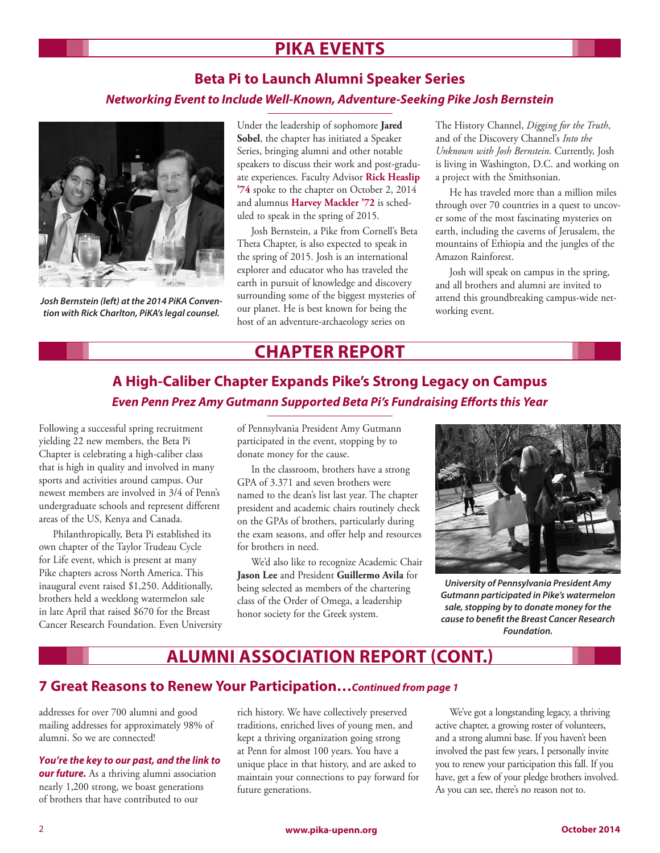# **PIKA EVENTS**

## **Beta Pi to Launch Alumni Speaker Series**  *Networking Event to Include Well-Known, Adventure-Seeking Pike Josh Bernstein*



*Josh Bernstein (left) at the 2014 PiKA Convention with Rick Charlton, PiKA's legal counsel.*

Under the leadership of sophomore **Jared Sobel**, the chapter has initiated a Speaker Series, bringing alumni and other notable speakers to discuss their work and post-graduate experiences. Faculty Advisor **Rick Heaslip '74** spoke to the chapter on October 2, 2014 and alumnus **Harvey Mackler '72** is scheduled to speak in the spring of 2015.

Josh Bernstein, a Pike from Cornell's Beta Theta Chapter, is also expected to speak in the spring of 2015. Josh is an international explorer and educator who has traveled the earth in pursuit of knowledge and discovery surrounding some of the biggest mysteries of our planet. He is best known for being the host of an adventure-archaeology series on

The History Channel, *Digging for the Truth*, and of the Discovery Channel's *Into the Unknown with Josh Bernstein*. Currently, Josh is living in Washington, D.C. and working on a project with the Smithsonian.

He has traveled more than a million miles through over 70 countries in a quest to uncover some of the most fascinating mysteries on earth, including the caverns of Jerusalem, the mountains of Ethiopia and the jungles of the Amazon Rainforest.

Josh will speak on campus in the spring, and all brothers and alumni are invited to attend this groundbreaking campus-wide networking event.

## **CHAPTER REPORT**

# **A High-Caliber Chapter Expands Pike's Strong Legacy on Campus** *Even Penn Prez Amy Gutmann Supported Beta Pi's Fundraising Efforts this Year*

Following a successful spring recruitment yielding 22 new members, the Beta Pi Chapter is celebrating a high-caliber class that is high in quality and involved in many sports and activities around campus. Our newest members are involved in 3/4 of Penn's undergraduate schools and represent different areas of the US, Kenya and Canada.

Philanthropically, Beta Pi established its own chapter of the Taylor Trudeau Cycle for Life event, which is present at many Pike chapters across North America. This inaugural event raised \$1,250. Additionally, brothers held a weeklong watermelon sale in late April that raised \$670 for the Breast Cancer Research Foundation. Even University of Pennsylvania President Amy Gutmann participated in the event, stopping by to donate money for the cause.

In the classroom, brothers have a strong GPA of 3.371 and seven brothers were named to the dean's list last year. The chapter president and academic chairs routinely check on the GPAs of brothers, particularly during the exam seasons, and offer help and resources for brothers in need.

We'd also like to recognize Academic Chair **Jason Lee** and President **Guillermo Avila** for being selected as members of the chartering class of the Order of Omega, a leadership honor society for the Greek system.



*University of Pennsylvania President Amy Gutmann participated in Pike's watermelon sale, stopping by to donate money for the cause to benefit the Breast Cancer Research Foundation.*

# **ALUMNI ASSOCIATION REPORT (CONT.)**

### **7 Great Reasons to Renew Your Participation…***Continued from page 1*

addresses for over 700 alumni and good mailing addresses for approximately 98% of alumni. So we are connected!

*You're the key to our past, and the link to our future.* As a thriving alumni association nearly 1,200 strong, we boast generations of brothers that have contributed to our

rich history. We have collectively preserved traditions, enriched lives of young men, and kept a thriving organization going strong at Penn for almost 100 years. You have a unique place in that history, and are asked to maintain your connections to pay forward for future generations.

We've got a longstanding legacy, a thriving active chapter, a growing roster of volunteers, and a strong alumni base. If you haven't been involved the past few years, I personally invite you to renew your participation this fall. If you have, get a few of your pledge brothers involved. As you can see, there's no reason not to.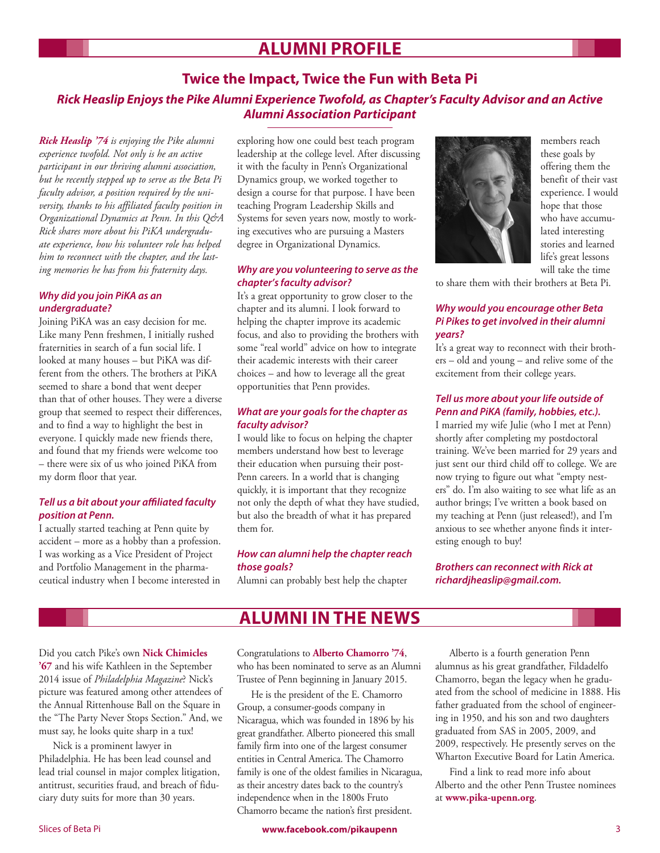# **ALUMNI PROFILE**

### **Twice the Impact, Twice the Fun with Beta Pi** *Rick Heaslip Enjoys the Pike Alumni Experience Twofold, as Chapter's Faculty Advisor and an Active Alumni Association Participant*

*Rick Heaslip '74 is enjoying the Pike alumni experience twofold. Not only is he an active participant in our thriving alumni association, but he recently stepped up to serve as the Beta Pi faculty advisor, a position required by the university, thanks to his affiliated faculty position in Organizational Dynamics at Penn. In this Q&A Rick shares more about his PiKA undergraduate experience, how his volunteer role has helped him to reconnect with the chapter, and the lasting memories he has from his fraternity days.*

#### *Why did you join PiKA as an undergraduate?*

Joining PiKA was an easy decision for me. Like many Penn freshmen, I initially rushed fraternities in search of a fun social life. I looked at many houses – but PiKA was different from the others. The brothers at PiKA seemed to share a bond that went deeper than that of other houses. They were a diverse group that seemed to respect their differences, and to find a way to highlight the best in everyone. I quickly made new friends there, and found that my friends were welcome too – there were six of us who joined PiKA from my dorm floor that year.

### *Tell us a bit about your affiliated faculty position at Penn.*

I actually started teaching at Penn quite by accident – more as a hobby than a profession. I was working as a Vice President of Project and Portfolio Management in the pharmaceutical industry when I become interested in exploring how one could best teach program leadership at the college level. After discussing it with the faculty in Penn's Organizational Dynamics group, we worked together to design a course for that purpose. I have been teaching Program Leadership Skills and Systems for seven years now, mostly to working executives who are pursuing a Masters degree in Organizational Dynamics.

### *Why are you volunteering to serve as the chapter's faculty advisor?*

It's a great opportunity to grow closer to the chapter and its alumni. I look forward to helping the chapter improve its academic focus, and also to providing the brothers with some "real world" advice on how to integrate their academic interests with their career choices – and how to leverage all the great opportunities that Penn provides.

### *What are your goals for the chapter as faculty advisor?*

I would like to focus on helping the chapter members understand how best to leverage their education when pursuing their post-Penn careers. In a world that is changing quickly, it is important that they recognize not only the depth of what they have studied, but also the breadth of what it has prepared them for.

### *How can alumni help the chapter reach those goals?*

Alumni can probably best help the chapter



members reach these goals by offering them the benefit of their vast experience. I would hope that those who have accumulated interesting stories and learned life's great lessons will take the time

to share them with their brothers at Beta Pi.

### *Why would you encourage other Beta Pi Pikes to get involved in their alumni years?*

It's a great way to reconnect with their brothers – old and young – and relive some of the excitement from their college years.

### *Tell us more about your life outside of Penn and PiKA (family, hobbies, etc.).*

I married my wife Julie (who I met at Penn) shortly after completing my postdoctoral training. We've been married for 29 years and just sent our third child off to college. We are now trying to figure out what "empty nesters" do. I'm also waiting to see what life as an author brings; I've written a book based on my teaching at Penn (just released!), and I'm anxious to see whether anyone finds it interesting enough to buy!

*Brothers can reconnect with Rick at richardjheaslip@gmail.com.*

# **ALUMNI IN THE NEWS**

Did you catch Pike's own **Nick Chimicles '67** and his wife Kathleen in the September 2014 issue of *Philadelphia Magazine*? Nick's picture was featured among other attendees of the Annual Rittenhouse Ball on the Square in the "The Party Never Stops Section." And, we must say, he looks quite sharp in a tux!

Nick is a prominent lawyer in Philadelphia. He has been lead counsel and lead trial counsel in major complex litigation, antitrust, securities fraud, and breach of fiduciary duty suits for more than 30 years.

Congratulations to **Alberto Chamorro '74**, who has been nominated to serve as an Alumni Trustee of Penn beginning in January 2015.

He is the president of the E. Chamorro Group, a consumer-goods company in Nicaragua, which was founded in 1896 by his great grandfather. Alberto pioneered this small family firm into one of the largest consumer entities in Central America. The Chamorro family is one of the oldest families in Nicaragua, as their ancestry dates back to the country's independence when in the 1800s Fruto Chamorro became the nation's first president.

Alberto is a fourth generation Penn alumnus as his great grandfather, Fildadelfo Chamorro, began the legacy when he graduated from the school of medicine in 1888. His father graduated from the school of engineering in 1950, and his son and two daughters graduated from SAS in 2005, 2009, and 2009, respectively. He presently serves on the Wharton Executive Board for Latin America.

Find a link to read more info about Alberto and the other Penn Trustee nominees at **www.pika-upenn.org**.